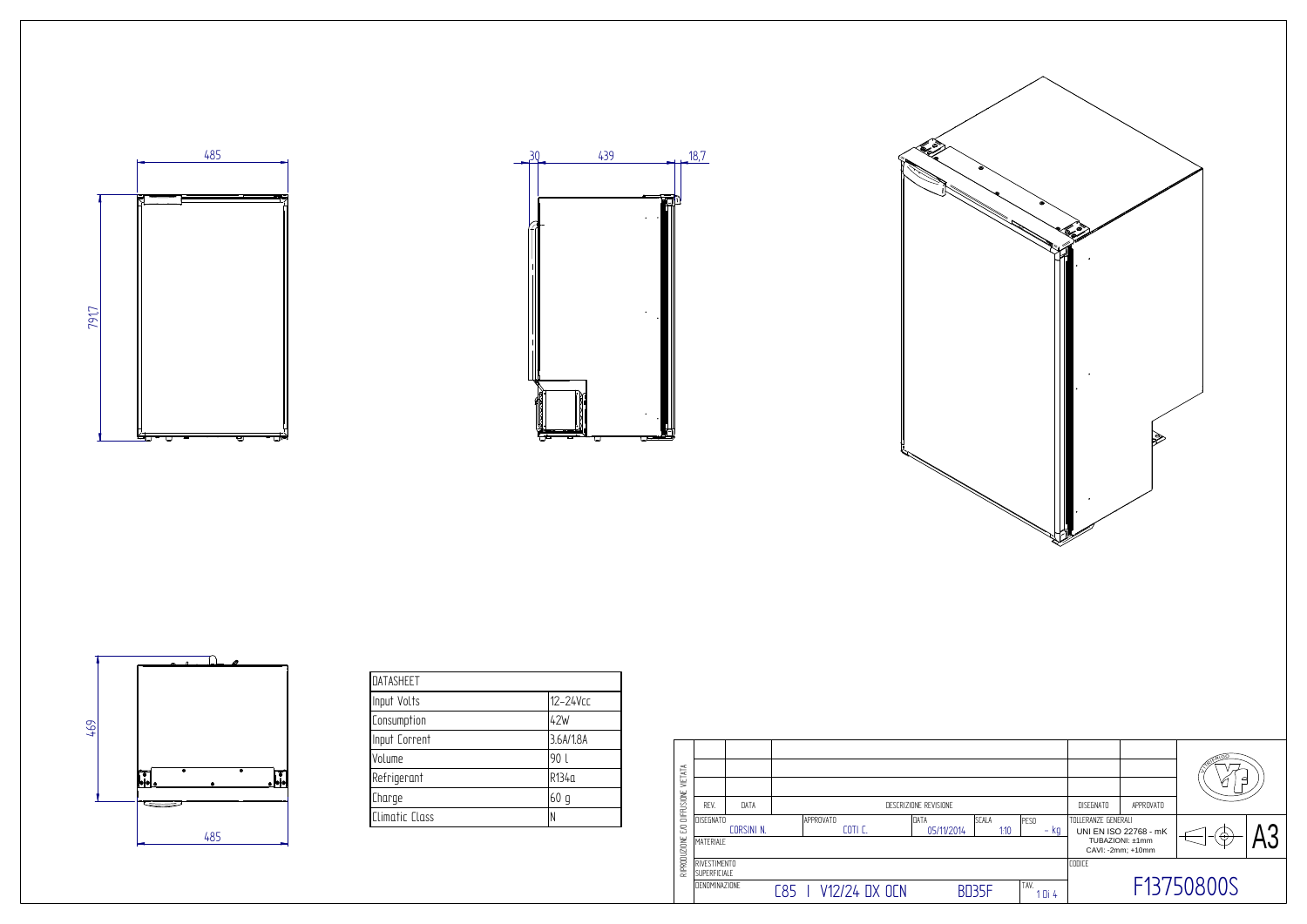







STANDARD VERSION (overall dimension)